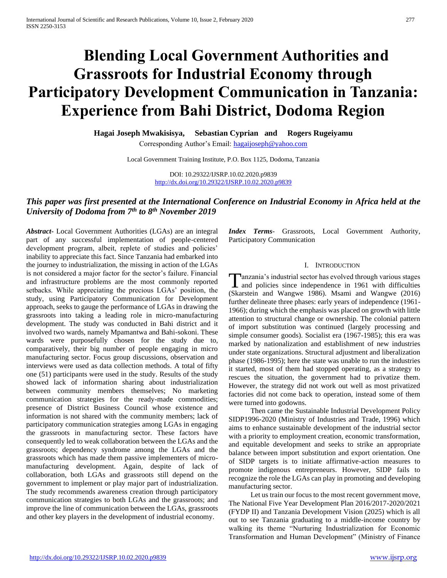# **Blending Local Government Authorities and Grassroots for Industrial Economy through Participatory Development Communication in Tanzania: Experience from Bahi District, Dodoma Region**

**Hagai Joseph Mwakisisya, Sebastian Cyprian and Rogers Rugeiyamu** Corresponding Author's Email: [hagaijoseph@yahoo.com](mailto:hagaijoseph@yahoo.com)

Local Government Training Institute, P.O. Box 1125, Dodoma, Tanzania

DOI: 10.29322/IJSRP.10.02.2020.p9839 <http://dx.doi.org/10.29322/IJSRP.10.02.2020.p9839>

# *This paper was first presented at the International Conference on Industrial Economy in Africa held at the University of Dodoma from 7th to 8th November 2019*

*Abstract***-** Local Government Authorities (LGAs) are an integral part of any successful implementation of people-centered development program, albeit, replete of studies and policies' inability to appreciate this fact. Since Tanzania had embarked into the journey to industrialization, the missing in action of the LGAs is not considered a major factor for the sector's failure. Financial and infrastructure problems are the most commonly reported setbacks. While appreciating the precious LGAs' position, the study, using Participatory Communication for Development approach, seeks to gauge the performance of LGAs in drawing the grassroots into taking a leading role in micro-manufacturing development. The study was conducted in Bahi district and it involved two wards, namely Mpamantwa and Bahi-sokoni. These wards were purposefully chosen for the study due to, comparatively, their big number of people engaging in micro manufacturing sector. Focus group discussions, observation and interviews were used as data collection methods. A total of fifty one (51) participants were used in the study. Results of the study showed lack of information sharing about industrialization between community members themselves; No marketing communication strategies for the ready-made commodities; presence of District Business Council whose existence and information is not shared with the community members; lack of participatory communication strategies among LGAs in engaging the grassroots in manufacturing sector. These factors have consequently led to weak collaboration between the LGAs and the grassroots; dependency syndrome among the LGAs and the grassroots which has made them passive implementers of micromanufacturing development. Again, despite of lack of collaboration, both LGAs and grassroots still depend on the government to implement or play major part of industrialization. The study recommends awareness creation through participatory communication strategies to both LGAs and the grassroots; and improve the line of communication between the LGAs, grassroots and other key players in the development of industrial economy.

*Index Terms*- Grassroots, Local Government Authority, Participatory Communication

# I. INTRODUCTION

**T**anzania's industrial sector has evolved through various stages<br>and policies since independence in 1961 with difficulties **1** and policies since independence in 1961 with difficulties (Skarstein and Wangwe 1986). Msami and Wangwe (2016) further delineate three phases: early years of independence (1961- 1966); during which the emphasis was placed on growth with little attention to structural change or ownership. The colonial pattern of import substitution was continued (largely processing and simple consumer goods). Socialist era (1967-1985); this era was marked by nationalization and establishment of new industries under state organizations. Structural adjustment and liberalization phase (1986-1995); here the state was unable to run the industries it started, most of them had stopped operating, as a strategy to rescues the situation, the government had to privatize them. However, the strategy did not work out well as most privatized factories did not come back to operation, instead some of them were turned into godowns.

 Then came the Sustainable Industrial Development Policy SIDP1996-2020 (Ministry of Industries and Trade, 1996) which aims to enhance sustainable development of the industrial sector with a priority to employment creation, economic transformation, and equitable development and seeks to strike an appropriate balance between import substitution and export orientation. One of SIDP targets is to initiate affirmative-action measures to promote indigenous entrepreneurs. However, SIDP fails to recognize the role the LGAs can play in promoting and developing manufacturing sector.

 Let us train our focus to the most recent government move, The National Five Year Development Plan 2016/2017-2020/2021 (FYDP II) and Tanzania Development Vision (2025) which is all out to see Tanzania graduating to a middle-income country by walking its theme "Nurturing Industrialization for Economic Transformation and Human Development" (Ministry of Finance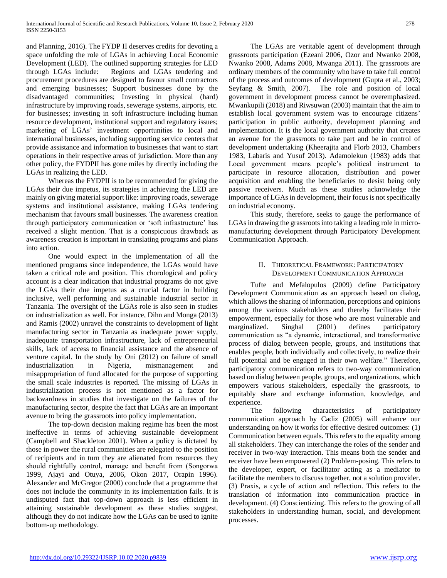and Planning, 2016). The FYDP II deserves credits for devoting a space unfolding the role of LGAs in achieving Local Economic Development (LED). The outlined supporting strategies for LED through LGAs include: Regions and LGAs tendering and procurement procedures are designed to favour small contractors and emerging businesses; Support businesses done by the disadvantaged communities; Investing in physical (hard) infrastructure by improving roads, sewerage systems, airports, etc. for businesses; investing in soft infrastructure including human resource development, institutional support and regulatory issues; marketing of LGAs' investment opportunities to local and international businesses, including supporting service centers that provide assistance and information to businesses that want to start operations in their respective areas of jurisdiction. More than any other policy, the FYDPII has gone miles by directly including the LGAs in realizing the LED.

 Whereas the FYDPII is to be recommended for giving the LGAs their due impetus, its strategies in achieving the LED are mainly on giving material support like: improving roads, sewerage systems and institutional assistance, making LGAs tendering mechanism that favours small businesses. The awareness creation through participatory communication or 'soft infrastructure' has received a slight mention. That is a conspicuous drawback as awareness creation is important in translating programs and plans into action.

 One would expect in the implementation of all the mentioned programs since independence, the LGAs would have taken a critical role and position. This chorological and policy account is a clear indication that industrial programs do not give the LGAs their due impetus as a crucial factor in building inclusive, well performing and sustainable industrial sector in Tanzania. The oversight of the LGAs role is also seen in studies on industrialization as well. For instance, Dihn and Monga (2013) and Ramis (2002) unravel the constraints to development of light manufacturing sector in Tanzania as inadequate power supply, inadequate transportation infrastructure, lack of entrepreneurial skills, lack of access to financial assistance and the absence of venture capital. In the study by Oni (2012) on failure of small industrialization in Nigeria, mismanagement and misappropriation of fund allocated for the purpose of supporting the small scale industries is reported. The missing of LGAs in industrialization process is not mentioned as a factor for backwardness in studies that investigate on the failures of the manufacturing sector, despite the fact that LGAs are an important avenue to bring the grassroots into policy implementation.

 The top-down decision making regime has been the most ineffective in terms of achieving sustainable development (Campbell and Shackleton 2001). When a policy is dictated by those in power the rural communities are relegated to the position of recipients and in turn they are alienated from resources they should rightfully control, manage and benefit from (Songorwa 1999, Ajayi and Otuya, 2006, Okon 2017, Orapin 1996). Alexander and McGregor (2000) conclude that a programme that does not include the community in its implementation fails. It is undisputed fact that top-down approach is less efficient in attaining sustainable development as these studies suggest, although they do not indicate how the LGAs can be used to ignite bottom-up methodology.

 The LGAs are veritable agent of development through grassroots participation (Ezeani 2006, Ozor and Nwanko 2008, Nwanko 2008, Adams 2008, Mwanga 2011). The grassroots are ordinary members of the community who have to take full control of the process and outcomes of development (Gupta et al., 2003; Seyfang & Smith, 2007). The role and position of local government in development process cannot be overemphasized. Mwankupili (2018) and Riwsuwan (2003) maintain that the aim to establish local government system was to encourage citizens' participation in public authority, development planning and implementation. It is the local government authority that creates an avenue for the grassroots to take part and be in control of development undertaking (Kheerajita and Florb 2013, Chambers 1983, Labaris and Yusuf 2013). Adamolekun (1983) adds that Local government means people's political instrument to participate in resource allocation, distribution and power acquisition and enabling the beneficiaries to desist being only passive receivers. Much as these studies acknowledge the importance of LGAs in development, their focus is not specifically on industrial economy.

 This study, therefore, seeks to gauge the performance of LGAs in drawing the grassroots into taking a leading role in micromanufacturing development through Participatory Development Communication Approach.

# II. THEORETICAL FRAMEWORK: PARTICIPATORY DEVELOPMENT COMMUNICATION APPROACH

 Tufte and Mefalopulos (2009) define Participatory Development Communication as an approach based on dialog, which allows the sharing of information, perceptions and opinions among the various stakeholders and thereby facilitates their empowerment, especially for those who are most vulnerable and marginalized. Singhal (2001) defines participatory communication as "a dynamic, interactional, and transformative process of dialog between people, groups, and institutions that enables people, both individually and collectively, to realize their full potential and be engaged in their own welfare." Therefore, participatory communication refers to two-way communication based on dialog between people, groups, and organizations, which empowers various stakeholders, especially the grassroots, to equitably share and exchange information, knowledge, and experience.

 The following characteristics of participatory communication approach by Cadiz (2005) will enhance our understanding on how it works for effective desired outcomes: (1) Communication between equals. This refers to the equality among all stakeholders. They can interchange the roles of the sender and receiver in two-way interaction. This means both the sender and receiver have been empowered (2) Problem-posing. This refers to the developer, expert, or facilitator acting as a mediator to facilitate the members to discuss together, not a solution provider. (3) Praxis, a cycle of action and reflection. This refers to the translation of information into communication practice in development. (4) Conscientizing. This refers to the growing of all stakeholders in understanding human, social, and development processes.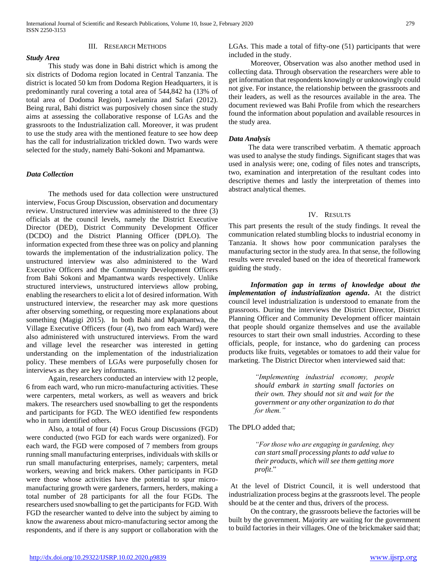# III. RESEARCH METHODS

# *Study Area*

 This study was done in Bahi district which is among the six districts of Dodoma region located in Central Tanzania. The district is located 50 km from Dodoma Region Headquarters, it is predominantly rural covering a total area of 544,842 ha (13% of total area of Dodoma Region) Lwelamira and Safari (2012). Being rural, Bahi district was purposively chosen since the study aims at assessing the collaborative response of LGAs and the grassroots to the Industrialization call. Moreover, it was prudent to use the study area with the mentioned feature to see how deep has the call for industrialization trickled down. Two wards were selected for the study, namely Bahi-Sokoni and Mpamantwa.

# *Data Collection*

 The methods used for data collection were unstructured interview, Focus Group Discussion, observation and documentary review. Unstructured interview was administered to the three (3) officials at the council levels, namely the District Executive Director (DED), District Community Development Officer (DCDO) and the District Planning Officer (DPLO). The information expected from these three was on policy and planning towards the implementation of the industrialization policy. The unstructured interview was also administered to the Ward Executive Officers and the Community Development Officers from Bahi Sokoni and Mpamantwa wards respectively. Unlike structured interviews, unstructured interviews allow probing, enabling the researchers to elicit a lot of desired information. With unstructured interview, the researcher may ask more questions after observing something, or requesting more explanations about something (Magigi 2015). In both Bahi and Mpamantwa, the Village Executive Officers (four (4), two from each Ward) were also administered with unstructured interviews. From the ward and village level the researcher was interested in getting understanding on the implementation of the industrialization policy. These members of LGAs were purposefully chosen for interviews as they are key informants.

 Again, researchers conducted an interview with 12 people, 6 from each ward, who run micro-manufacturing activities. These were carpenters, metal workers, as well as weavers and brick makers. The researchers used snowballing to get the respondents and participants for FGD. The WEO identified few respondents who in turn identified others.

 Also, a total of four (4) Focus Group Discussions (FGD) were conducted (two FGD for each wards were organized). For each ward, the FGD were composed of 7 members from groups running small manufacturing enterprises, individuals with skills or run small manufacturing enterprises, namely; carpenters, metal workers, weaving and brick makers. Other participants in FGD were those whose activities have the potential to spur micromanufacturing growth were gardeners, farmers, herders, making a total number of 28 participants for all the four FGDs. The researchers used snowballing to get the participants for FGD. With FGD the researcher wanted to delve into the subject by aiming to know the awareness about micro-manufacturing sector among the respondents, and if there is any support or collaboration with the LGAs. This made a total of fifty-one (51) participants that were included in the study.

 Moreover, Observation was also another method used in collecting data. Through observation the researchers were able to get information that respondents knowingly or unknowingly could not give. For instance, the relationship between the grassroots and their leaders, as well as the resources available in the area. The document reviewed was Bahi Profile from which the researchers found the information about population and available resources in the study area.

# *Data Analysis*

The data were transcribed verbatim. A thematic approach was used to analyse the study findings. Significant stages that was used in analysis were; one, coding of files notes and transcripts, two, examination and interpretation of the resultant codes into descriptive themes and lastly the interpretation of themes into abstract analytical themes.

### IV. RESULTS

This part presents the result of the study findings. It reveal the communication related stumbling blocks to industrial economy in Tanzania. It shows how poor communication paralyses the manufacturing sector in the study area. In that sense, the following results were revealed based on the idea of theoretical framework guiding the study.

 *Information gap in terms of knowledge about the implementation of industrialization agenda***.** At the district council level industrialization is understood to emanate from the grassroots. During the interviews the District Director, District Planning Officer and Community Development officer maintain that people should organize themselves and use the available resources to start their own small industries. According to these officials, people, for instance, who do gardening can process products like fruits, vegetables or tomatoes to add their value for marketing. The District Director when interviewed said that:

> *"Implementing industrial economy, people should embark in starting small factories on their own. They should not sit and wait for the government or any other organization to do that for them."*

The DPLO added that;

*"For those who are engaging in gardening, they can start small processing plants to add value to their products, which will see them getting more profit*."

At the level of District Council, it is well understood that industrialization process begins at the grassroots level. The people should be at the center and thus, drivers of the process.

 On the contrary, the grassroots believe the factories will be built by the government. Majority are waiting for the government to build factories in their villages. One of the brickmaker said that;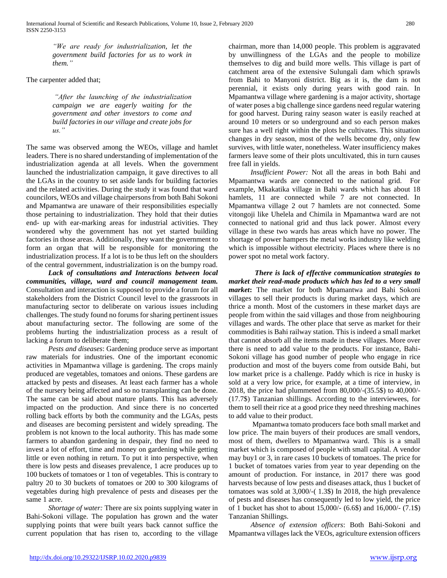*"We are ready for industrialization, let the government build factories for us to work in them."*

The carpenter added that;

*"After the launching of the industrialization campaign we are eagerly waiting for the government and other investors to come and build factories in our village and create jobs for us."*

The same was observed among the WEOs, village and hamlet leaders. There is no shared understanding of implementation of the industrialization agenda at all levels. When the government launched the industrialization campaign, it gave directives to all the LGAs in the country to set aside lands for building factories and the related activities. During the study it was found that ward councilors, WEOs and village chairpersons from both Bahi Sokoni and Mpamantwa are unaware of their responsibilities especially those pertaining to industrialization. They hold that their duties end- up with ear-marking areas for industrial activities. They wondered why the government has not yet started building factories in those areas. Additionally, they want the government to form an organ that will be responsible for monitoring the industrialization process. If a lot is to be thus left on the shoulders of the central government, industrialization is on the bumpy road.

 *Lack of consultations and Interactions between local communities, village, ward and council management team.*  Consultation and interaction is supposed to provide a forum for all stakeholders from the District Council level to the grassroots in manufacturing sector to deliberate on various issues including challenges. The study found no forums for sharing pertinent issues about manufacturing sector. The following are some of the problems hurting the industrialization process as a result of lacking a forum to deliberate them;

 *Pests and diseases*: Gardening produce serve as important raw materials for industries. One of the important economic activities in Mpamantwa village is gardening. The crops mainly produced are vegetables, tomatoes and onions. These gardens are attacked by pests and diseases. At least each farmer has a whole of the nursery being affected and so no transplanting can be done. The same can be said about mature plants. This has adversely impacted on the production. And since there is no concerted rolling back efforts by both the community and the LGAs, pests and diseases are becoming persistent and widely spreading. The problem is not known to the local authority. This has made some farmers to abandon gardening in despair, they find no need to invest a lot of effort, time and money on gardening while getting little or even nothing in return. To put it into perspective, when there is low pests and diseases prevalence, 1 acre produces up to 100 buckets of tomatoes or 1 ton of vegetables. This is contrary to paltry 20 to 30 buckets of tomatoes or 200 to 300 kilograms of vegetables during high prevalence of pests and diseases per the same 1 acre.

 *Shortage of water:* There are six points supplying water in Bahi-Sokoni village. The population has grown and the water supplying points that were built years back cannot suffice the current population that has risen to, according to the village

chairman, more than 14,000 people. This problem is aggravated by unwillingness of the LGAs and the people to mobilize themselves to dig and build more wells. This village is part of catchment area of the extensive Sulungali dam which sprawls from Bahi to Manyoni district. Big as it is, the dam is not perennial, it exists only during years with good rain. In Mpamantwa village where gardening is a major activity, shortage of water poses a big challenge since gardens need regular watering for good harvest. During rainy season water is easily reached at around 10 meters or so underground and so each person makes sure has a well right within the plots he cultivates. This situation changes in dry season, most of the wells become dry, only few survives, with little water, nonetheless. Water insufficiency makes farmers leave some of their plots uncultivated, this in turn causes free fall in yields.

 *Insufficient Power:* Not all the areas in both Bahi and Mpamantwa wards are connected to the national grid. For example, Mkakatika village in Bahi wards which has about 18 hamlets, 11 are connected while 7 are not connected. In Mpamantwa village 2 out 7 hamlets are not connected. Some vitongoji like Uhelela and Chimila in Mpamantwa ward are not connected to national grid and thus lack power. Almost every village in these two wards has areas which have no power. The shortage of power hampers the metal works industry like welding which is impossible without electricity. Places where there is no power spot no metal work factory.

*There is lack of effective communication strategies to market their read-made products which has led to a very small market***:** The market for both Mpamantwa and Bahi Sokoni villages to sell their products is during market days, which are thrice a month. Most of the customers in these market days are people from within the said villages and those from neighbouring villages and wards. The other place that serve as market for their commodities is Bahi railway station. This is indeed a small market that cannot absorb all the items made in these villages. More over there is need to add value to the products. For instance, Bahi-Sokoni village has good number of people who engage in rice production and most of the buyers come from outside Bahi, but low market price is a challenge. Paddy which is rice in husky is sold at a very low price, for example, at a time of interview, in 2018, the price had plummeted from 80,000/-(35.5\$) to 40,000/- (17.7\$) Tanzanian shillings. According to the interviewees, for them to sell their rice at a good price they need threshing machines to add value to their product.

 Mpamantwa tomato producers face both small market and low price. The main buyers of their produces are small vendors, most of them, dwellers to Mpamantwa ward. This is a small market which is composed of people with small capital. A vendor may buy1 or 3, in rare cases 10 buckets of tomatoes. The price for 1 bucket of tomatoes varies from year to year depending on the amount of production. For instance, in 2017 there was good harvests because of low pests and diseases attack, thus 1 bucket of tomatoes was sold at 3,000/-( 1.3\$) In 2018, the high prevalence of pests and diseases has consequently led to low yield, the price of 1 bucket has shot to about 15,000/- (6.6\$) and 16,000/- (7.1\$) Tanzanian Shillings.

 *Absence of extension officers*: Both Bahi-Sokoni and Mpamantwa villages lack the VEOs, agriculture extension officers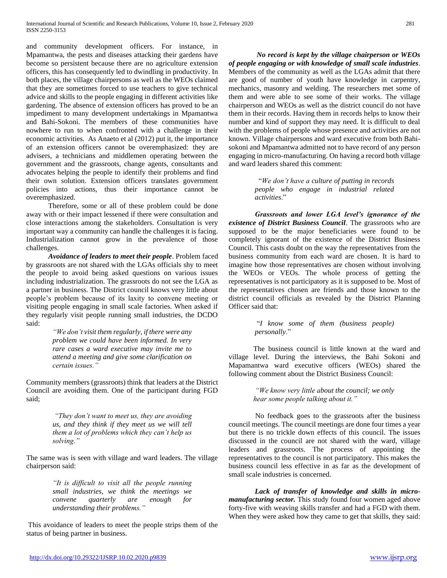and community development officers. For instance, in Mpamantwa, the pests and diseases attacking their gardens have become so persistent because there are no agriculture extension officers, this has consequently led to dwindling in productivity. In both places, the village chairpersons as well as the WEOs claimed that they are sometimes forced to use teachers to give technical advice and skills to the people engaging in different activities like gardening. The absence of extension officers has proved to be an impediment to many development undertakings in Mpamantwa and Bahi-Sokoni. The members of these communities have nowhere to run to when confronted with a challenge in their economic activities. As Anaeto et al (2012) put it, the importance of an extension officers cannot be overemphasized: they are advisers, a technicians and middlemen operating between the government and the grassroots, change agents, consultants and advocates helping the people to identify their problems and find their own solution. Extension officers translates government policies into actions, thus their importance cannot be overemphasized.

 Therefore, some or all of these problem could be done away with or their impact lessened if there were consultation and close interactions among the stakeholders. Consultation is very important way a community can handle the challenges it is facing. Industrialization cannot grow in the prevalence of those challenges.

 *Avoidance of leaders to meet their people*. Problem faced by grassroots are not shared with the LGAs officials shy to meet the people to avoid being asked questions on various issues including industrialization. The grassroots do not see the LGA as a partner in business. The District council knows very little about people's problem because of its laxity to convene meeting or visiting people engaging in small scale factories. When asked if they regularly visit people running small industries, the DCDO said:

> *"We don't visit them regularly, if there were any problem we could have been informed. In very rare cases a ward executive may invite me to attend a meeting and give some clarification on certain issues."*

Community members (grassroots) think that leaders at the District Council are avoiding them. One of the participant during FGD said;

> *"They don't want to meet us, they are avoiding us, and they think if they meet us we will tell them a lot of problems which they can't help us solving."*

The same was is seen with village and ward leaders. The village chairperson said:

> *"It is difficult to visit all the people running small industries, we think the meetings we convene quarterly are enough for understanding their problems."*

This avoidance of leaders to meet the people strips them of the status of being partner in business.

*No record is kept by the village chairperson or WEOs of people engaging or with knowledge of small scale industries*. Members of the community as well as the LGAs admit that there are good of number of youth have knowledge in carpentry, mechanics, masonry and welding. The researchers met some of them and were able to see some of their works. The village chairperson and WEOs as well as the district council do not have them in their records. Having them in records helps to know their number and kind of support they may need. It is difficult to deal with the problems of people whose presence and activities are not known. Village chairpersons and ward executive from both Bahisokoni and Mpamantwa admitted not to have record of any person engaging in micro-manufacturing. On having a record both village and ward leaders shared this comment:

> "*We don't have a culture of putting in records people who engage in industrial related activities*."

*Grassroots and lower LGA level's ignorance of the existence of District Business Council*. The grassroots who are supposed to be the major beneficiaries were found to be completely ignorant of the existence of the District Business Council. This casts doubt on the way the representatives from the business community from each ward are chosen. It is hard to imagine how those representatives are chosen without involving the WEOs or VEOs. The whole process of getting the representatives is not participatory as it is supposed to be. Most of the representatives chosen are friends and those known to the district council officials as revealed by the District Planning Officer said that:

> "*I know some of them (business people) personally*."

The business council is little known at the ward and village level. During the interviews, the Bahi Sokoni and Mapamantwa ward executive officers (WEOs) shared the following comment about the District Business Council:

> *"We know very little about the council; we only hear some people talking about it."*

No feedback goes to the grassroots after the business council meetings. The council meetings are done four times a year but there is no trickle down effects of this council. The issues discussed in the council are not shared with the ward, village leaders and grassroots. The process of appointing the representatives to the council is not participatory. This makes the business council less effective in as far as the development of small scale industries is concerned.

*Lack of transfer of knowledge and skills in micromanufacturing sector.* This study found four women aged above forty-five with weaving skills transfer and had a FGD with them. When they were asked how they came to get that skills, they said: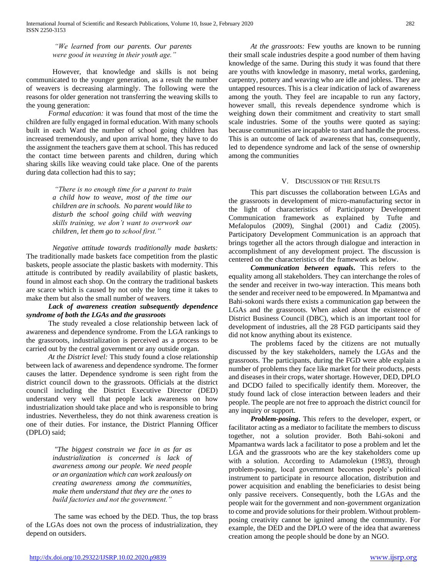*"We learned from our parents. Our parents were good in weaving in their youth age."*

However, that knowledge and skills is not being communicated to the younger generation, as a result the number of weavers is decreasing alarmingly. The following were the reasons for older generation not transferring the weaving skills to the young generation:

 *Formal education:* it was found that most of the time the children are fully engaged in formal education. With many schools built in each Ward the number of school going children has increased tremendously, and upon arrival home, they have to do the assignment the teachers gave them at school. This has reduced the contact time between parents and children, during which sharing skills like weaving could take place. One of the parents during data collection had this to say;

> *"There is no enough time for a parent to train a child how to weave, most of the time our children are in schools. No parent would like to disturb the school going child with weaving skills training, we don't want to overwork our children, let them go to school first."*

*Negative attitude towards traditionally made baskets:*  The traditionally made baskets face competition from the plastic baskets, people associate the plastic baskets with modernity. This attitude is contributed by readily availability of plastic baskets, found in almost each shop. On the contrary the traditional baskets are scarce which is caused by not only the long time it takes to make them but also the small number of weavers.

# *Lack of awareness creation subsequently dependence syndrome of both the LGAs and the grassroots*

 The study revealed a close relationship between lack of awareness and dependence syndrome. From the LGA rankings to the grassroots, industrialization is perceived as a process to be carried out by the central government or any outside organ.

 *At the District level:* This study found a close relationship between lack of awareness and dependence syndrome. The former causes the latter. Dependence syndrome is seen right from the district council down to the grassroots. Officials at the district council including the District Executive Director (DED) understand very well that people lack awareness on how industrialization should take place and who is responsible to bring industries. Nevertheless, they do not think awareness creation is one of their duties. For instance, the District Planning Officer (DPLO) said;

> *"The biggest constrain we face in as far as industrialization is concerned is lack of awareness among our people. We need people or an organization which can work zealously on creating awareness among the communities, make them understand that they are the ones to build factories and not the government."*

The same was echoed by the DED. Thus, the top brass of the LGAs does not own the process of industrialization, they depend on outsiders.

 *At the grassroots:* Few youths are known to be running their small scale industries despite a good number of them having knowledge of the same. During this study it was found that there are youths with knowledge in masonry, metal works, gardening, carpentry, pottery and weaving who are idle and jobless. They are untapped resources. This is a clear indication of lack of awareness among the youth. They feel are incapable to run any factory, however small, this reveals dependence syndrome which is weighing down their commitment and creativity to start small scale industries. Some of the youths were quoted as saying: because communities are incapable to start and handle the process. This is an outcome of lack of awareness that has, consequently, led to dependence syndrome and lack of the sense of ownership among the communities

# V. DISCUSSION OF THE RESULTS

 This part discusses the collaboration between LGAs and the grassroots in development of micro-manufacturing sector in the light of characteristics of Participatory Development Communication framework as explained by Tufte and Mefalopulos (2009), Singhal (2001) and Cadiz (2005). Participatory Development Communication is an approach that brings together all the actors through dialogue and interaction in accomplishment of any development project. The discussion is centered on the characteristics of the framework as below.

 *Communication between equals***.** This refers to the equality among all stakeholders. They can interchange the roles of the sender and receiver in two-way interaction. This means both the sender and receiver need to be empowered. In Mpamantwa and Bahi-sokoni wards there exists a communication gap between the LGAs and the grassroots. When asked about the existence of District Business Council (DBC), which is an important tool for development of industries, all the 28 FGD participants said they did not know anything about its existence.

 The problems faced by the citizens are not mutually discussed by the key stakeholders, namely the LGAs and the grassroots. The participants, during the FGD were able explain a number of problems they face like market for their products, pests and diseases in their crops, water shortage. However, DED, DPLO and DCDO failed to specifically identify them. Moreover, the study found lack of close interaction between leaders and their people. The people are not free to approach the district council for any inquiry or support.

 *Problem-posing***.** This refers to the developer, expert, or facilitator acting as a mediator to facilitate the members to discuss together, not a solution provider. Both Bahi-sokoni and Mpamantwa wards lack a facilitator to pose a problem and let the LGA and the grassroots who are the key stakeholders come up with a solution. According to Adamolekun (1983), through problem-posing, local government becomes people's political instrument to participate in resource allocation, distribution and power acquisition and enabling the beneficiaries to desist being only passive receivers. Consequently, both the LGAs and the people wait for the government and non-government organization to come and provide solutions for their problem. Without problemposing creativity cannot be ignited among the community. For example, the DED and the DPLO were of the idea that awareness creation among the people should be done by an NGO.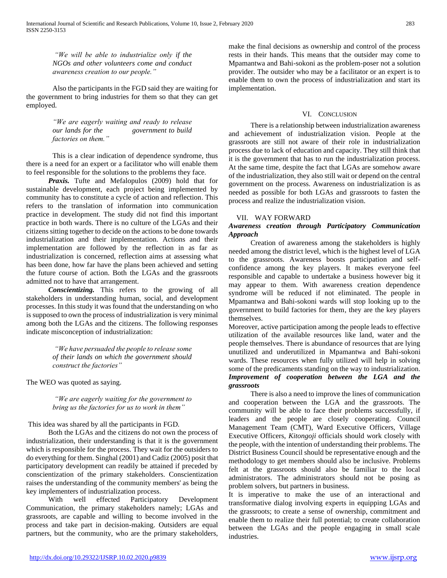*"We will be able to industrialize only if the NGOs and other volunteers come and conduct awareness creation to our people."*

Also the participants in the FGD said they are waiting for the government to bring industries for them so that they can get employed.

> *"We are eagerly waiting and ready to release our lands for the government to build factories on them."*

This is a clear indication of dependence syndrome, thus there is a need for an expert or a facilitator who will enable them to feel responsible for the solutions to the problems they face.

 *Praxis.* Tufte and Mefalopulos (2009) hold that for sustainable development, each project being implemented by community has to constitute a cycle of action and reflection. This refers to the translation of information into communication practice in development. The study did not find this important practice in both wards. There is no culture of the LGAs and their citizens sitting together to decide on the actions to be done towards industrialization and their implementation. Actions and their implementation are followed by the reflection in as far as industrialization is concerned, reflection aims at assessing what has been done, how far have the plans been achieved and setting the future course of action. Both the LGAs and the grassroots admitted not to have that arrangement.

 *Conscientizing.* This refers to the growing of all stakeholders in understanding human, social, and development processes. In this study it was found that the understanding on who is supposed to own the process of industrialization is very minimal among both the LGAs and the citizens. The following responses indicate misconception of industrialization:

> *"We have persuaded the people to release some of their lands on which the government should construct the factories"*

The WEO was quoted as saying.

*"We are eagerly waiting for the government to bring us the factories for us to work in them"*

# This idea was shared by all the participants in FGD*.*

 Both the LGAs and the citizens do not own the process of industrialization, their understanding is that it is the government which is responsible for the process. They wait for the outsiders to do everything for them. Singhal (2001) and Cadiz (2005) posit that participatory development can readily be attained if preceded by conscientization of the primary stakeholders. Conscientization raises the understanding of the community members' as being the key implementers of industrialization process.

 With well effected Participatory Development Communication, the primary stakeholders namely; LGAs and grassroots, are capable and willing to become involved in the process and take part in decision-making. Outsiders are equal partners, but the community, who are the primary stakeholders, make the final decisions as ownership and control of the process rests in their hands. This means that the outsider may come to Mpamantwa and Bahi-sokoni as the problem-poser not a solution provider. The outsider who may be a facilitator or an expert is to enable them to own the process of industrialization and start its implementation.

### VI. CONCLUSION

 There is a relationship between industrialization awareness and achievement of industrialization vision. People at the grassroots are still not aware of their role in industrialization process due to lack of education and capacity. They still think that it is the government that has to run the industrialization process. At the same time, despite the fact that LGAs are somehow aware of the industrialization, they also still wait or depend on the central government on the process. Awareness on industrialization is as needed as possible for both LGAs and grassroots to fasten the process and realize the industrialization vision.

# VII. WAY FORWARD

# *Awareness creation through Participatory Communication Approach*

 Creation of awareness among the stakeholders is highly needed among the district level, which is the highest level of LGA to the grassroots. Awareness boosts participation and selfconfidence among the key players. It makes everyone feel responsible and capable to undertake a business however big it may appear to them. With awareness creation dependence syndrome will be reduced if not eliminated. The people in Mpamantwa and Bahi-sokoni wards will stop looking up to the government to build factories for them, they are the key players themselves.

Moreover, active participation among the people leads to effective utilization of the available resources like land, water and the people themselves. There is abundance of resources that are lying unutilized and underutilized in Mpamantwa and Bahi-sokoni wards. These resources when fully utilized will help in solving some of the predicaments standing on the way to industrialization. *Improvement of cooperation between the LGA and the grassroots*

 There is also a need to improve the lines of communication and cooperation between the LGA and the grassroots. The community will be able to face their problems successfully, if leaders and the people are closely cooperating. Council Management Team (CMT), Ward Executive Officers, Village Executive Officers, *Kitongoji* officials should work closely with the people, with the intention of understanding their problems. The District Business Council should be representative enough and the methodology to get members should also be inclusive. Problems felt at the grassroots should also be familiar to the local administrators. The administrators should not be posing as problem solvers, but partners in business.

It is imperative to make the use of an interactional and transformative dialog involving experts in equipping LGAs and the grassroots; to create a sense of ownership, commitment and enable them to realize their full potential; to create collaboration between the LGAs and the people engaging in small scale industries.